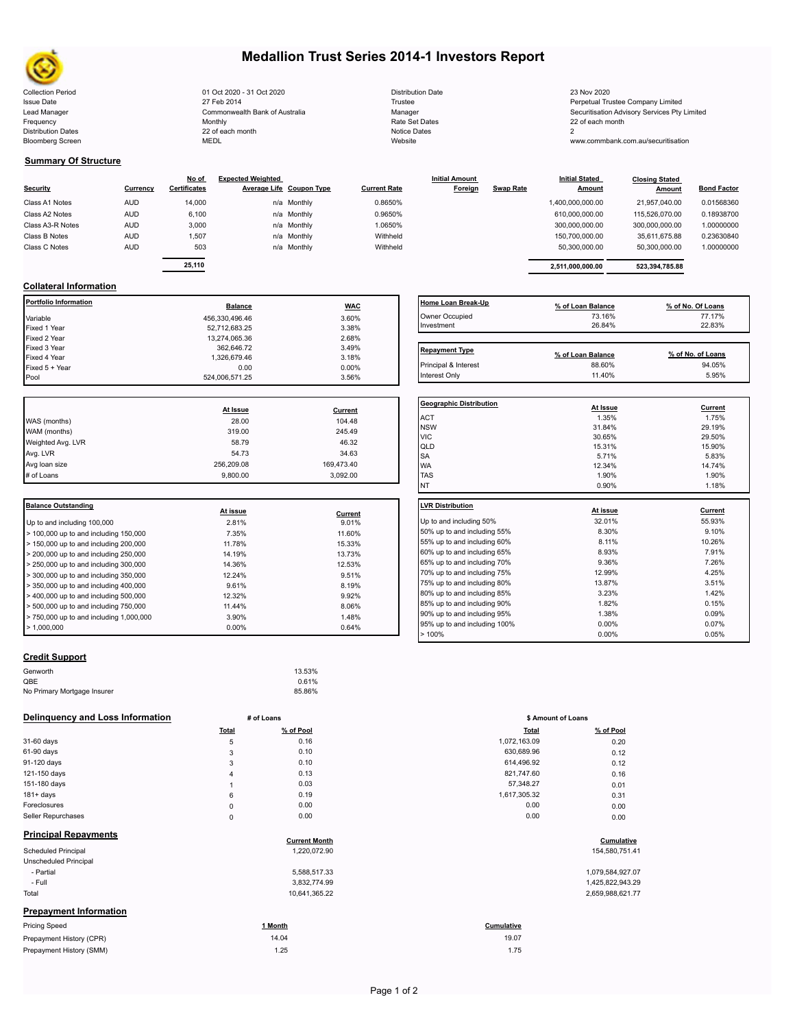

## **Medallion Trust Series 2014-1 Investors Report**

| <b>Collection Period</b>  | 01 Oct 2020 - 31 Oct 2020      | <b>Distribution Date</b> | 23 Nov 2020                                  |
|---------------------------|--------------------------------|--------------------------|----------------------------------------------|
| <b>Issue Date</b>         | 27 Feb 2014                    | Trustee                  | Perpetual Trustee Company Limited            |
| Lead Manager              | Commonwealth Bank of Australia | Manager                  | Securitisation Advisory Services Pty Limited |
| Frequency                 | Monthly                        | Rate Set Dates           | 22 of each month                             |
| <b>Distribution Dates</b> | 22 of each month               | Notice Dates             |                                              |
| <b>Bloomberg Screen</b>   | MEDL                           | Website                  | www.commbank.com.au/securitisation           |
|                           |                                |                          |                                              |

| <b>Distribution Date</b> |
|--------------------------|
| Trustee                  |
| Manager                  |
| Rate Set Dates           |
| Notice Dates             |
| Website                  |

### **Summary Of Structure**

| Security         | Currency   | No of<br>Certificates | <b>Expected Weighted</b> | Average Life Coupon Type | <b>Current Rate</b> | <b>Initial Amount</b><br>Foreign | <b>Swap Rate</b> | <b>Initial Stated</b><br><b>Amount</b> | <b>Closing Stated</b><br>Amount | <b>Bond Factor</b> |
|------------------|------------|-----------------------|--------------------------|--------------------------|---------------------|----------------------------------|------------------|----------------------------------------|---------------------------------|--------------------|
| Class A1 Notes   | <b>AUD</b> | 14,000                |                          | n/a Monthly              | 0.8650%             |                                  |                  | 1,400,000,000.00                       | 21.957.040.00                   | 0.01568360         |
| Class A2 Notes   | <b>AUD</b> | 6,100                 |                          | n/a Monthly              | 0.9650%             |                                  |                  | 610.000.000.00                         | 115,526,070.00                  | 0.18938700         |
| Class A3-R Notes | <b>AUD</b> | 3,000                 |                          | n/a Monthly              | 1.0650%             |                                  |                  | 300,000,000.00                         | 300,000,000.00                  | 1.00000000         |
| Class B Notes    | <b>AUD</b> | 1.507                 |                          | n/a Monthly              | Withheld            |                                  |                  | 150.700.000.00                         | 35.611.675.88                   | 0.23630840         |
| Class C Notes    | <b>AUD</b> | 503                   |                          | n/a Monthly              | Withheld            |                                  |                  | 50,300,000.00                          | 50,300,000.00                   | 1.00000000         |
|                  |            | -- ---                |                          |                          |                     |                                  |                  |                                        |                                 |                    |

|              | <b>Balance</b> |             | <b>WAC</b> | Home Loan Break-Up | % of Loan Balance     |                       | % of No. Of Loans<br>_____ |
|--------------|----------------|-------------|------------|--------------------|-----------------------|-----------------------|----------------------------|
|              |                |             |            |                    |                       |                       |                            |
| 25,110       |                |             |            |                    | 2.511.000.000.00      | 523.394.785.88        |                            |
| 503          |                | n/a Monthly | Withheld   |                    | 50.300.000.00         | 50.300.000.00         | 1.00000000                 |
| 1,507        |                | n/a Monthly | Withheld   |                    | 150,700,000.00        | 35,611,675.88         | 0.23630840                 |
| <b>J.UUU</b> |                | na monuny   | .uo5070    |                    | <b>JUU.UUU.UUU.UU</b> | <b>JUU.UUU.UUU.UU</b> | <b>UUUUUUUU</b>            |

## **Collateral Information**

| Portfolio Information | <b>Balance</b> | <b>WAC</b> | Home Loan Break-Up    | % of Loan Balance | % of No. Of Loans |
|-----------------------|----------------|------------|-----------------------|-------------------|-------------------|
| Variable              | 456,330,496.46 | 3.60%      | Owner Occupied        | 73.16%            | 77.17%            |
| Fixed 1 Year          | 52,712,683.25  | 3.38%      | Investment            | 26.84%            | 22.83%            |
| Fixed 2 Year          | 13,274,065.36  | 2.68%      |                       |                   |                   |
| Fixed 3 Year          | 362,646.72     | 3.49%      | <b>Repayment Type</b> |                   |                   |
| Fixed 4 Year          | 1,326,679.46   | 3.18%      |                       | % of Loan Balance | % of No. of Loans |
| Fixed 5 + Year        | 0.00           | $0.00\%$   | Principal & Interest  | 88.60%            | 94.05%            |
| Pool                  | 524.006.571.25 | 3.56%      | Interest Only         | 11.40%            | 5.95%             |

|            |            | Geo                     |
|------------|------------|-------------------------|
| At Issue   | Current    |                         |
| 28.00      | 104.48     | AC <sup>-</sup>         |
| 319.00     | 245.49     | <b>NS</b><br><b>VIC</b> |
| 58.79      | 46.32      | lqlı                    |
| 54.73      | 34.63      | <b>SA</b>               |
| 256,209.08 | 169,473.40 | <b>WA</b>               |
| 9.800.00   | 3.092.00   | <b>TAS</b>              |
|            |            |                         |

| <b>Balance Outstanding</b>                                |          |         | LVR Distribution    |
|-----------------------------------------------------------|----------|---------|---------------------|
|                                                           | At issue | Current |                     |
| Up to and including 100,000                               | 2.81%    | 9.01%   | Up to and including |
| $>$ 100,000 up to and including 150,000                   | 7.35%    | 11.60%  | 50% up to and incl  |
| $>$ 150,000 up to and including 200,000                   | 11.78%   | 15.33%  | 55% up to and incl  |
| $>$ 200,000 up to and including 250,000                   | 14.19%   | 13.73%  | 60% up to and incl  |
| $\geq$ 250,000 up to and including 300,000                | 14.36%   | 12.53%  | 65% up to and incl  |
| $>$ 300,000 up to and including 350,000                   | 12.24%   | 9.51%   | 70% up to and incl  |
| $\blacktriangleright$ 350,000 up to and including 400,000 | 9.61%    | 8.19%   | 75% up to and incl  |
| $>$ 400,000 up to and including 500,000                   | 12.32%   | 9.92%   | 80% up to and incl  |
| $>$ 500,000 up to and including 750,000                   | 11.44%   | 8.06%   | 85% up to and incl  |
| $> 750,000$ up to and including 1,000,000                 | 3.90%    | 1.48%   | 90% up to and incl  |
|                                                           |          |         | 95% up to and incl  |
| $\blacktriangleright$ 1.000.000                           | $0.00\%$ | 0.64%   |                     |

## **Home Loan Break-Up % of Loan Balance % of No. Of Loans** Owner Occupied 73.16% 77.17%  $Investment$  26.84% 22.83% 20.83% Repayment Type **Repayment Type % of Loan Balance % of No. of Loans**

| <b>Geographic Distribution</b> | At Issue | Current        |
|--------------------------------|----------|----------------|
| <b>ACT</b>                     | 1.35%    | 1.75%          |
| <b>NSW</b>                     | 31.84%   | 29.19%         |
| <b>VIC</b>                     | 30.65%   | 29.50%         |
| QLD                            | 15.31%   | 15.90%         |
| SA                             | 5.71%    | 5.83%          |
| <b>WA</b>                      | 12.34%   | 14.74%         |
| <b>TAS</b>                     | 1.90%    | 1.90%          |
| NT                             | 0.90%    | 1.18%          |
| <b>LVR Distribution</b>        | At issue | <b>Current</b> |
| Up to and including 50%        | 32.01%   | 55.93%         |
| 50% up to and including 55%    | 8.30%    | 9.10%          |
| 55% up to and including 60%    | 8.11%    | 10.26%         |
| 60% up to and including 65%    | 8.93%    | 7.91%          |
| 65% up to and including 70%    | 9.36%    | 7.26%          |
| 70% up to and including 75%    | 12.99%   | 4.25%          |
| 75% up to and including 80%    | 13.87%   | 3.51%          |
| 80% up to and including 85%    | 3.23%    | 1.42%          |
| 85% up to and including 90%    | 1.82%    | 0.15%          |
| 90% up to and including 95%    | 1.38%    | 0.09%          |
| 95% up to and including 100%   | 0.00%    | 0.07%          |
| >100%                          | 0.00%    | 0.05%          |

### **Credit Support**

| Genworth                    | 13.53% |
|-----------------------------|--------|
| QBE                         | 0.61%  |
| No Primary Mortgage Insurer | 85.86% |

#### **Delinquency and Loss Information # of Loans**

|                               | Total       | % of Pool            | <b>Total</b> | % of Pool        |
|-------------------------------|-------------|----------------------|--------------|------------------|
| 31-60 days                    | 5           | 0.16                 | 1,072,163.09 | 0.20             |
| 61-90 days                    | 3           | 0.10                 | 630,689.96   | 0.12             |
| 91-120 days                   | 3           | 0.10                 | 614,496.92   | 0.12             |
| 121-150 days                  | 4           | 0.13                 | 821,747.60   | 0.16             |
| 151-180 days                  |             | 0.03                 | 57,348.27    | 0.01             |
| $181 + days$                  | 6           | 0.19                 | 1,617,305.32 | 0.31             |
| Foreclosures                  | $\pmb{0}$   | 0.00                 | 0.00         | 0.00             |
| Seller Repurchases            | $\mathbf 0$ | 0.00                 | 0.00         | 0.00             |
| <b>Principal Repayments</b>   |             | <b>Current Month</b> |              | Cumulative       |
| <b>Scheduled Principal</b>    |             | 1,220,072.90         |              | 154,580,751.41   |
| Unscheduled Principal         |             |                      |              |                  |
| - Partial                     |             | 5,588,517.33         |              | 1,079,584,927.07 |
| - Full                        |             | 3,832,774.99         |              | 1,425,822,943.29 |
| Total                         |             | 10,641,365.22        |              | 2,659,988,621.77 |
| <b>Prepayment Information</b> |             |                      |              |                  |
| <b>Pricing Speed</b>          |             | 1 Month              | Cumulative   |                  |
| Prepayment History (CPR)      |             | 14.04                | 19.07        |                  |
| Prepayment History (SMM)      |             | 1.25                 | 1.75         |                  |

|             | # of Loans | \$ Amount of Loans |           |
|-------------|------------|--------------------|-----------|
| Total       | % of Pool  | <b>Total</b>       | % of Pool |
| 5           | 0.16       | 1,072,163.09       | 0.20      |
| 3           | 0.10       | 630,689.96         | 0.12      |
| 3           | 0.10       | 614,496.92         | 0.12      |
| 4           | 0.13       | 821,747.60         | 0.16      |
| 1           | 0.03       | 57,348.27          | 0.01      |
| 6           | 0.19       | 1,617,305.32       | 0.31      |
| $\mathbf 0$ | 0.00       | 0.00               | 0.00      |
| 0           | 0.00       | 0.00               | 0.00      |
|             |            |                    |           |
|             |            |                    |           |

# **Cumulative**<br>
154,580,751.41<br>
154,580,751.41